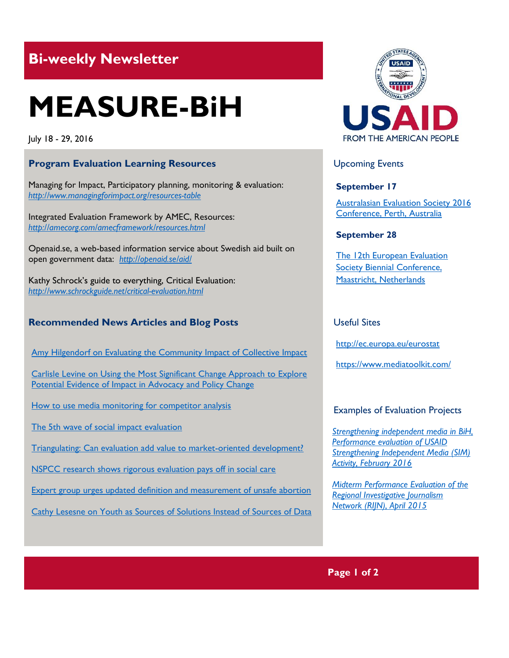# **Bi-weekly Newsletter**

# **MEASURE-BiH**

July 18 - 29, 2016

# **Program Evaluation Learning Resources**

Managing for Impact, Participatory planning, monitoring & evaluation: *<http://www.managingforimpact.org/resources-table>*

Integrated Evaluation Framework by AMEC, Resources: *<http://amecorg.com/amecframework/resources.html>* 

Openaid.se, a web-based information service about Swedish aid built on open government data: *<http://openaid.se/aid/>*

Kathy Schrock's guide to everything, Critical Evaluation: *<http://www.schrockguide.net/critical-evaluation.html>*

## **Recommended News Articles and Blog Posts**

[Amy Hilgendorf on Evaluating the Community Impact of Collective Impact](http://aea365.org/blog/cp-tig-week-amy-hilgendorf-on-evaluating-the-community-impact-of-collective-impact/?utm_source=feedburner&utm_medium=feed&utm_campaign=Feed%3A+aea365+%28AEA365%29) 

[Carlisle Levine on Using the Most Significant Change Approach to Explore](http://aea365.org/blog/apc-tig-week-carlisle-levine-on-using-the-most-significant-change-approach-to-explore-potential-evidence-of-impact-in-advocacy-and-policy-change/?utm_source=feedburner&utm_medium=feed&utm_campaign=Feed%3A+aea365+%28AEA365%29)  Potential Evidence of Impact in Advocacy and Policy Change

[How to use media monitoring for competitor analysis](http://blog.mediatoolkit.com/how-to-use-media-monitoring-for-competitor-marketing-analysis/)

[The 5th wave of social impact evaluation](http://www.czech-in.org/ees/5thwave.pdf)

[Triangulating: Can evaluation add value to market-oriented development?](http://www.europeanevaluation.org/ees-blogs/riitta-oksanen/triangulating-can-evaluation-add-value-market-oriented-development)

[NSPCC research shows rigorous evaluation pays off in social care](https://www.theguardian.com/social-care-network/2014/mar/25/nspcc-research-evaluation-social-care)

[Expert group urges updated definition and measurement of unsafe abortion](http://www.ipas.org/en/News/2016/July/Expert-group-urges-updated-definition-and-measurement-of-unsafe-abortion.aspx)

[Cathy Lesesne on Youth as Sources of Solutions Instead of Sources of Data](http://aea365.org/blog/cp-tig-week-cathy-lesesne-on-youth-as-sources-of-solutions-instead-of-sources-of-data/?utm_source=feedburner&utm_medium=feed&utm_campaign=Feed%3A+aea365+%28AEA365%29)



# Upcoming Events

#### **September 17**

[Australasian Evaluation Society 2016](http://mande.co.uk/conferences/?event_id1=24)  [Conference, Perth, Australia](http://mande.co.uk/conferences/?event_id1=24) 

#### **September 28**

[The 12th European Evaluation](http://mande.co.uk/conferences/?event_id1=16)  [Society Biennial Conference,](http://mande.co.uk/conferences/?event_id1=16)  [Maastricht, Netherlands](http://mande.co.uk/conferences/?event_id1=16)

#### Useful Sites

<http://ec.europa.eu/eurostat>

<https://www.mediatoolkit.com/>

#### Examples of Evaluation Projects

*[Strengthening independent media in BiH,](http://pdf.usaid.gov/pdf_docs/pa00m3bv.pdf)  [Performance evaluation of USAID](http://pdf.usaid.gov/pdf_docs/pa00m3bv.pdf)  [Strengthening Independent Media \(SIM\)](http://pdf.usaid.gov/pdf_docs/pa00m3bv.pdf)  [Activity, February 2016](http://pdf.usaid.gov/pdf_docs/pa00m3bv.pdf)* 

*[Midterm Performance Evaluation of the](http://pdf.usaid.gov/pdf_docs/pa00km3j.pdf)  [Regional Investigative Journalism](http://pdf.usaid.gov/pdf_docs/pa00km3j.pdf)  [Network \(RIJN\), April 2015](http://pdf.usaid.gov/pdf_docs/pa00km3j.pdf)*

### **Page 1 of 2**